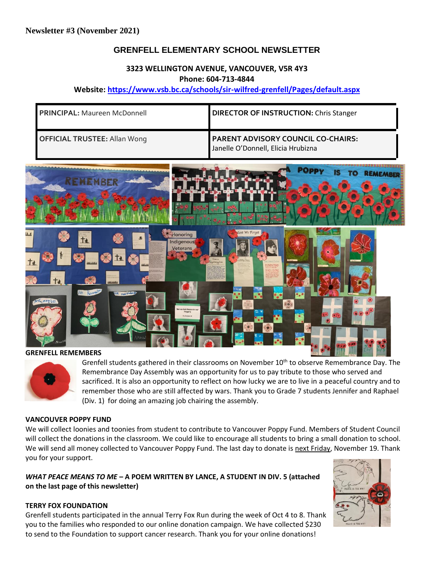# **GRENFELL ELEMENTARY SCHOOL NEWSLETTER**

#### **3323 WELLINGTON AVENUE, VANCOUVER, V5R 4Y3 Phone: 604-713-4844**

#### **Website: <https://www.vsb.bc.ca/schools/sir-wilfred-grenfell/Pages/default.aspx>**

| <b>PRINCIPAL: Maureen McDonnell</b> | <b>DIRECTOR OF INSTRUCTION: Chris Stanger</b>                                   |
|-------------------------------------|---------------------------------------------------------------------------------|
| <b>OFFICIAL TRUSTEE: Allan Wong</b> | <b>PARENT ADVISORY COUNCIL CO-CHAIRS:</b><br>Janelle O'Donnell, Elicia Hrubizna |



Grenfell students gathered in their classrooms on November 10<sup>th</sup> to observe Remembrance Day. The Remembrance Day Assembly was an opportunity for us to pay tribute to those who served and sacrificed. It is also an opportunity to reflect on how lucky we are to live in a peaceful country and to remember those who are still affected by wars. Thank you to Grade 7 students Jennifer and Raphael (Div. 1) for doing an amazing job chairing the assembly.

#### **VANCOUVER POPPY FUND**

We will collect loonies and toonies from student to contribute to Vancouver Poppy Fund. Members of Student Council will collect the donations in the classroom. We could like to encourage all students to bring a small donation to school. We will send all money collected to Vancouver Poppy Fund. The last day to donate is next Friday, November 19. Thank you for your support.

*WHAT PEACE MEANS TO ME* **– A POEM WRITTEN BY LANCE, A STUDENT IN DIV. 5 (attached on the last page of this newsletter)**

#### **TERRY FOX FOUNDATION**

Grenfell students participated in the annual Terry Fox Run during the week of Oct 4 to 8. Thank you to the families who responded to our online donation campaign. We have collected \$230 to send to the Foundation to support cancer research. Thank you for your online donations!

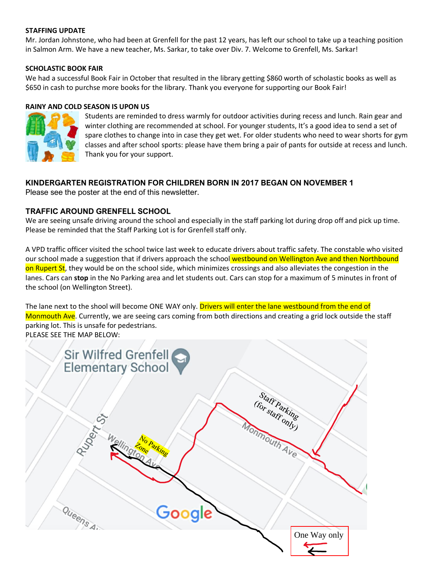#### **STAFFING UPDATE**

Mr. Jordan Johnstone, who had been at Grenfell for the past 12 years, has left our school to take up a teaching position in Salmon Arm. We have a new teacher, Ms. Sarkar, to take over Div. 7. Welcome to Grenfell, Ms. Sarkar!

#### **SCHOLASTIC BOOK FAIR**

We had a successful Book Fair in October that resulted in the library getting \$860 worth of scholastic books as well as \$650 in cash to purchse more books for the library. Thank you everyone for supporting our Book Fair!

#### **RAINY AND COLD SEASON IS UPON US**



Students are reminded to dress warmly for outdoor activities during recess and lunch. Rain gear and winter clothing are recommended at school. For younger students, It's a good idea to send a set of spare clothes to change into in case they get wet. For older students who need to wear shorts for gym classes and after school sports: please have them bring a pair of pants for outside at recess and lunch. Thank you for your support.

## **KINDERGARTEN REGISTRATION FOR CHILDREN BORN IN 2017 BEGAN ON NOVEMBER 1**

Please see the poster at the end of this newsletter.

#### **TRAFFIC AROUND GRENFELL SCHOOL**

We are seeing unsafe driving around the school and especially in the staff parking lot during drop off and pick up time. Please be reminded that the Staff Parking Lot is for Grenfell staff only.

A VPD traffic officer visited the school twice last week to educate drivers about traffic safety. The constable who visited our school made a suggestion that if drivers approach the school westbound on Wellington Ave and then Northbound on Rupert St, they would be on the school side, which minimizes crossings and also alleviates the congestion in the lanes. Cars can **stop** in the No Parking area and let students out. Cars can stop for a maximum of 5 minutes in front of the school (on Wellington Street).

The lane next to the shool will become ONE WAY only. Drivers will enter the lane westbound from the end of Monmouth Ave. Currently, we are seeing cars coming from both directions and creating a grid lock outside the staff parking lot. This is unsafe for pedestrians.

PLEASE SEE THE MAP BELOW:

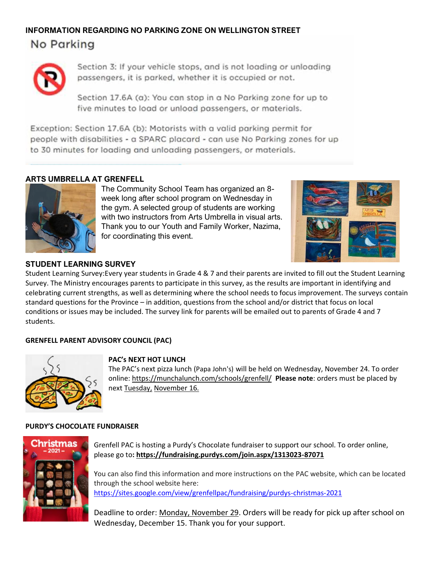# **INFORMATION REGARDING NO PARKING ZONE ON WELLINGTON STREET** No Parking



Section 3: If your vehicle stops, and is not loading or unloading passengers, it is parked, whether it is occupied or not.

Section 17.6A (a): You can stop in a No Parking zone for up to five minutes to load or unload passengers, or materials.

Exception: Section 17.6A (b): Motorists with a valid parking permit for people with disabilities - a SPARC placard - can use No Parking zones for up to 30 minutes for loading and unloading passengers, or materials.

## **ARTS UMBRELLA AT GRENFELL**



The Community School Team has organized an 8 week long after school program on Wednesday in the gym. A selected group of students are working with two instructors from Arts Umbrella in visual arts. Thank you to our Youth and Family Worker, Nazima, for coordinating this event.



# **STUDENT LEARNING SURVEY**

Student Learning Survey:Every year students in Grade 4 & 7 and their parents are invited to fill out the Student Learning Survey. The Ministry encourages parents to participate in this survey, as the results are important in identifying and celebrating current strengths, as well as determining where the school needs to focus improvement. The surveys contain standard questions for the Province – in addition, questions from the school and/or district that focus on local conditions or issues may be included. The survey link for parents will be emailed out to parents of Grade 4 and 7 students.

## **GRENFELL PARENT ADVISORY COUNCIL (PAC)**



#### **PAC's NEXT HOT LUNCH**

The PAC's next pizza lunch (Papa John's) will be held on Wednesday, November 24. To order online:<https://munchalunch.com/schools/grenfell/>**Please note**: orders must be placed by next Tuesday, November 16.

#### **PURDY'S CHOCOLATE FUNDRAISER**



Grenfell PAC is hosting a Purdy's Chocolate fundraiser to support our school. To order online, please go to**:<https://fundraising.purdys.com/join.aspx/1313023-87071>**

You can also find this information and more instructions on the PAC website, which can be located through the school website here: <https://sites.google.com/view/grenfellpac/fundraising/purdys-christmas-2021>

Deadline to order: Monday, November 29. Orders will be ready for pick up after school on Wednesday, December 15. Thank you for your support.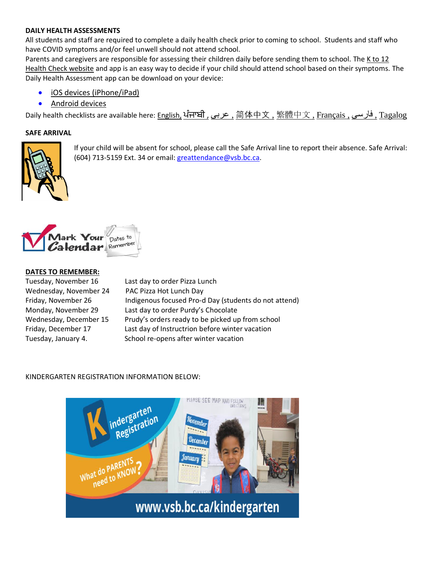#### **DAILY HEALTH ASSESSMENTS**

All students and staff are required to complete a daily health check prior to coming to school. Students and staff who have COVID symptoms and/or feel unwell should not attend school.

Parents and caregivers are responsible for assessing their children daily before sending them to school. The [K to 12](https://www.k12dailycheck.gov.bc.ca/)  [Health Check website](https://www.k12dailycheck.gov.bc.ca/) and app is an easy way to decide if your child should attend school based on their symptoms. The Daily Health Assessment app can be download on your device:

- [iOS devices \(iPhone/iPad\)](https://apps.apple.com/us/app/bc-k-12-daily-health-checker/id1547334827)
- [Android devices](https://play.google.com/store/apps/details?id=com.qp.k12App)

Daily health checklists are available here: [English,](https://www2.gov.bc.ca/assets/gov/education/kindergarten-to-grade-12/covid/daily-health-check-english.pdf) [ਪੰਜਾਬੀ](https://www2.gov.bc.ca/assets/gov/education/kindergarten-to-grade-12/covid/daily-health-check-punjabi.pdf) [,](https://www2.gov.bc.ca/assets/gov/education/kindergarten-to-grade-12/covid/daily-health-check-punjabi.pdf) [عربى](https://www2.gov.bc.ca/assets/gov/education/kindergarten-to-grade-12/covid/daily-health-check-arabic.pdf) [,](https://www2.gov.bc.ca/assets/gov/education/kindergarten-to-grade-12/covid/daily-health-check-arabic.pdf) [简体中文](https://www2.gov.bc.ca/assets/gov/education/kindergarten-to-grade-12/covid/daily-health-check-chinese-simplified.pdf) [,](https://www2.gov.bc.ca/assets/gov/education/kindergarten-to-grade-12/covid/daily-health-check-chinese-simplified.pdf) [繁體中文](https://www2.gov.bc.ca/assets/gov/education/kindergarten-to-grade-12/covid/daily-health-check-chinese-traditional.pdf) [,](https://www2.gov.bc.ca/assets/gov/education/kindergarten-to-grade-12/covid/daily-health-check-chinese-traditional.pdf) [Français ,](https://www2.gov.bc.ca/assets/gov/education/kindergarten-to-grade-12/covid/daily-health-check-french.pdf) [فارسی](https://www2.gov.bc.ca/assets/gov/education/kindergarten-to-grade-12/covid/daily-health-check-farsi.pdf) [,](https://www2.gov.bc.ca/assets/gov/education/kindergarten-to-grade-12/covid/daily-health-check-farsi.pdf) [Tagalog](https://www2.gov.bc.ca/assets/gov/education/kindergarten-to-grade-12/covid/daily-health-check-tagalog.pdf) 

#### **SAFE ARRIVAL**



If your child will be absent for school, please call the Safe Arrival line to report their absence. Safe Arrival: (604) 713-5159 Ext. 34 or email: [greattendance@vsb.bc.ca.](mailto:greattendance@vsb.bc.ca)



#### **DATES TO REMEMBER:**

Tuesday, November 16Last day to order Pizza Lunch Wednesday, November 24 PAC Pizza Hot Lunch Day

Friday, November 26 Indigenous focused Pro-d Day (students do not attend) Monday, November 29 Last day to order Purdy's Chocolate Wednesday, December 15 Prudy's orders ready to be picked up from school Friday, December 17 Last day of Instructrion before winter vacation Tuesday, January 4. School re-opens after winter vacation

#### KINDERGARTEN REGISTRATION INFORMATION BELOW:

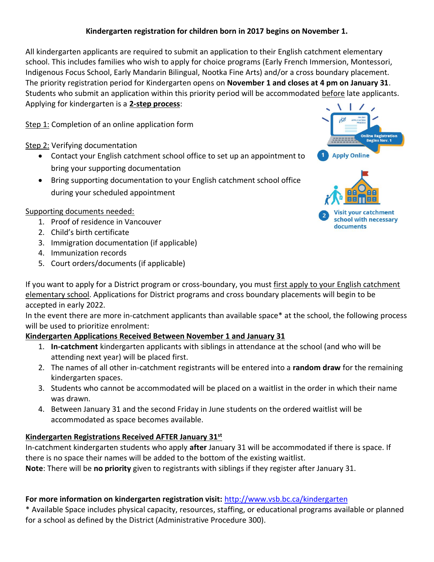# **Kindergarten registration for children born in 2017 begins on November 1.**

All kindergarten applicants are required to submit an application to their English catchment elementary school. This includes families who wish to apply for choice programs (Early French Immersion, Montessori, Indigenous Focus School, Early Mandarin Bilingual, Nootka Fine Arts) and/or a cross boundary placement. The priority registration period for Kindergarten opens on **November 1 and closes at 4 pm on January 31**. Students who submit an application within this priority period will be accommodated before late applicants. Applying for kindergarten is a **2-step process**:

Step 1: Completion of an online application form

Step 2: Verifying documentation

- Contact your English catchment school office to set up an appointment to bring your supporting documentation
- Bring supporting documentation to your English catchment school office during your scheduled appointment

# Supporting documents needed:

- 1. Proof of residence in Vancouver
- 2. Child's birth certificate
- 3. Immigration documentation (if applicable)
- 4. Immunization records
- 5. Court orders/documents (if applicable)



school with necessary

documents

If you want to apply for a District program or cross-boundary, you must first apply to your English catchment elementary school. Applications for District programs and cross boundary placements will begin to be accepted in early 2022.

In the event there are more in-catchment applicants than available space\* at the school, the following process will be used to prioritize enrolment:

## **Kindergarten Applications Received Between November 1 and January 31**

- 1. **In-catchment** kindergarten applicants with siblings in attendance at the school (and who will be attending next year) will be placed first.
- 2. The names of all other in-catchment registrants will be entered into a **random draw** for the remaining kindergarten spaces.
- 3. Students who cannot be accommodated will be placed on a waitlist in the order in which their name was drawn.
- 4. Between January 31 and the second Friday in June students on the ordered waitlist will be accommodated as space becomes available.

# **Kindergarten Registrations Received AFTER January 31st**

In-catchment kindergarten students who apply **after** January 31 will be accommodated if there is space. If there is no space their names will be added to the bottom of the existing waitlist.

**Note**: There will be **no priority** given to registrants with siblings if they register after January 31.

# **For more information on kindergarten registration visit:** <http://www.vsb.bc.ca/kindergarten>

\* Available Space includes physical capacity, resources, staffing, or educational programs available or planned for a school as defined by the District (Administrative Procedure 300).